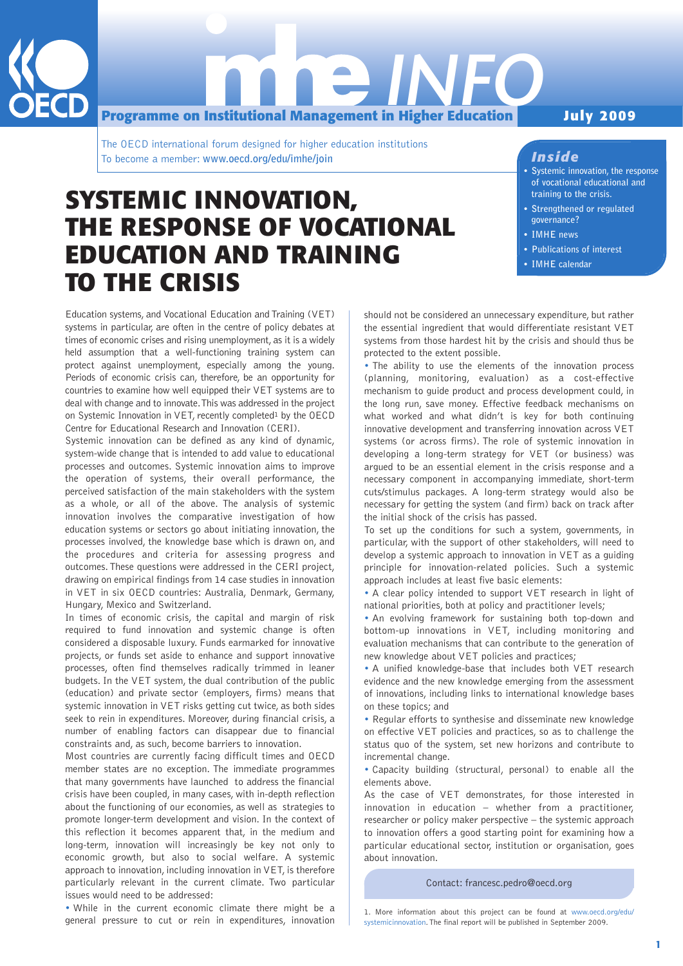

**Programme on Institutional Management in Higher Education** *INFO*

The OECD international forum designed for higher education institutions To become a member: **www.oecd.org/edu/imhe/join**

# **July 2009**

## *Inside*

- **Systemic innovation, the response of vocational educational and training to the crisis.**
- **Strengthened or regulated governance?**
- **IMHE news**
- **Publications of interest**
- **IMHE calendar**

# **SYSTEMIC INNOVATION, THE RESPONSE OF VOCATIONAL EDUCATION AND TRAINING TO THE CRISIS**

Education systems, and Vocational Education and Training (VET) systems in particular, are often in the centre of policy debates at times of economic crises and rising unemployment, as it is a widely held assumption that a well-functioning training system can protect against unemployment, especially among the young. Periods of economic crisis can, therefore, be an opportunity for countries to examine how well equipped their VET systems are to deal with change and to innovate. This was addressed in the project on Systemic Innovation in VET, recently completed<sup>1</sup> by the OECD Centre for Educational Research and Innovation (CERI).

Systemic innovation can be defined as any kind of dynamic, system-wide change that is intended to add value to educational processes and outcomes. Systemic innovation aims to improve the operation of systems, their overall performance, the perceived satisfaction of the main stakeholders with the system as a whole, or all of the above. The analysis of systemic innovation involves the comparative investigation of how education systems or sectors go about initiating innovation, the processes involved, the knowledge base which is drawn on, and the procedures and criteria for assessing progress and outcomes. These questions were addressed in the CERI project, drawing on empirical findings from 14 case studies in innovation in VET in six OECD countries: Australia, Denmark, Germany, Hungary, Mexico and Switzerland.

In times of economic crisis, the capital and margin of risk required to fund innovation and systemic change is often considered a disposable luxury. Funds earmarked for innovative projects, or funds set aside to enhance and support innovative processes, often find themselves radically trimmed in leaner budgets. In the VET system, the dual contribution of the public (education) and private sector (employers, firms) means that systemic innovation in VET risks getting cut twice, as both sides seek to rein in expenditures. Moreover, during financial crisis, a number of enabling factors can disappear due to financial constraints and, as such, become barriers to innovation.

Most countries are currently facing difficult times and OECD member states are no exception. The immediate programmes that many governments have launched to address the financial crisis have been coupled, in many cases, with in-depth reflection about the functioning of our economies, as well as strategies to promote longer-term development and vision. In the context of this reflection it becomes apparent that, in the medium and long-term, innovation will increasingly be key not only to economic growth, but also to social welfare. A systemic approach to innovation, including innovation in VET, is therefore particularly relevant in the current climate. Two particular issues would need to be addressed:

• While in the current economic climate there might be a general pressure to cut or rein in expenditures, innovation should not be considered an unnecessary expenditure, but rather the essential ingredient that would differentiate resistant VET systems from those hardest hit by the crisis and should thus be protected to the extent possible.

• The ability to use the elements of the innovation process (planning, monitoring, evaluation) as a cost-effective mechanism to guide product and process development could, in the long run, save money. Effective feedback mechanisms on what worked and what didn't is key for both continuing innovative development and transferring innovation across VET systems (or across firms). The role of systemic innovation in developing a long-term strategy for VET (or business) was argued to be an essential element in the crisis response and a necessary component in accompanying immediate, short-term cuts/stimulus packages. A long-term strategy would also be necessary for getting the system (and firm) back on track after the initial shock of the crisis has passed.

To set up the conditions for such a system, governments, in particular, with the support of other stakeholders, will need to develop a systemic approach to innovation in VET as a guiding principle for innovation-related policies. Such a systemic approach includes at least five basic elements:

• A clear policy intended to support VET research in light of national priorities, both at policy and practitioner levels;

• An evolving framework for sustaining both top-down and bottom-up innovations in VET, including monitoring and evaluation mechanisms that can contribute to the generation of new knowledge about VET policies and practices;

• A unified knowledge-base that includes both VET research evidence and the new knowledge emerging from the assessment of innovations, including links to international knowledge bases on these topics; and

• Regular efforts to synthesise and disseminate new knowledge on effective VET policies and practices, so as to challenge the status quo of the system, set new horizons and contribute to incremental change.

• Capacity building (structural, personal) to enable all the elements above.

As the case of VET demonstrates, for those interested in innovation in education – whether from a practitioner, researcher or policy maker perspective – the systemic approach to innovation offers a good starting point for examining how a particular educational sector, institution or organisation, goes about innovation.

Contact: francesc.pedro@oecd.org

<sup>1.</sup> More information about this project can be found at www.oecd.org/edu/ systemicinnovation. The final report will be published in September 2009.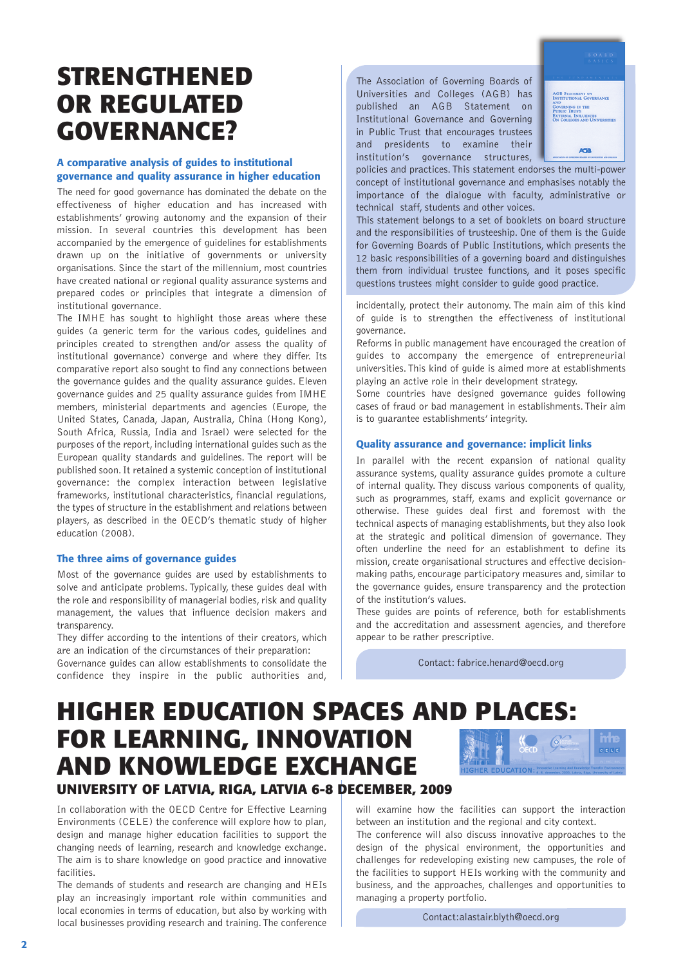# **STRENGTHENED OR REGULATED GOVERNANCE?**

#### **A comparative analysis of guides to institutional governance and quality assurance in higher education**

The need for good governance has dominated the debate on the effectiveness of higher education and has increased with establishments' growing autonomy and the expansion of their mission. In several countries this development has been accompanied by the emergence of guidelines for establishments drawn up on the initiative of governments or university organisations. Since the start of the millennium, most countries have created national or regional quality assurance systems and prepared codes or principles that integrate a dimension of institutional governance.

The IMHE has sought to highlight those areas where these guides (a generic term for the various codes, guidelines and principles created to strengthen and/or assess the quality of institutional governance) converge and where they differ. Its comparative report also sought to find any connections between the governance guides and the quality assurance guides. Eleven governance guides and 25 quality assurance guides from IMHE members, ministerial departments and agencies (Europe, the United States, Canada, Japan, Australia, China (Hong Kong), South Africa, Russia, India and Israel) were selected for the purposes of the report, including international guides such as the European quality standards and guidelines. The report will be published soon. It retained a systemic conception of institutional governance: the complex interaction between legislative frameworks, institutional characteristics, financial regulations, the types of structure in the establishment and relations between players, as described in the OECD's thematic study of higher education (2008).

#### **The three aims of governance guides**

Most of the governance guides are used by establishments to solve and anticipate problems. Typically, these guides deal with the role and responsibility of managerial bodies, risk and quality management, the values that influence decision makers and transparency.

They differ according to the intentions of their creators, which are an indication of the circumstances of their preparation: Governance guides can allow establishments to consolidate the confidence they inspire in the public authorities and,

The Association of Governing Boards of Universities and Colleges (AGB) has published an AGB Statement on Institutional Governance and Governing in Public Trust that encourages trustees and presidents to examine their institution's governance structures,



policies and practices. This statement endorses the multi-power concept of institutional governance and emphasises notably the importance of the dialogue with faculty, administrative or technical staff, students and other voices.

This statement belongs to a set of booklets on board structure and the responsibilities of trusteeship. One of them is the Guide for Governing Boards of Public Institutions, which presents the 12 basic responsibilities of a governing board and distinguishes them from individual trustee functions, and it poses specific questions trustees might consider to guide good practice.

incidentally, protect their autonomy. The main aim of this kind of guide is to strengthen the effectiveness of institutional governance.

Reforms in public management have encouraged the creation of guides to accompany the emergence of entrepreneurial universities. This kind of guide is aimed more at establishments playing an active role in their development strategy.

Some countries have designed governance guides following cases of fraud or bad management in establishments. Their aim is to guarantee establishments' integrity.

#### **Quality assurance and governance: implicit links**

In parallel with the recent expansion of national quality assurance systems, quality assurance guides promote a culture of internal quality. They discuss various components of quality, such as programmes, staff, exams and explicit governance or otherwise. These guides deal first and foremost with the technical aspects of managing establishments, but they also look at the strategic and political dimension of governance. They often underline the need for an establishment to define its mission, create organisational structures and effective decisionmaking paths, encourage participatory measures and, similar to the governance guides, ensure transparency and the protection of the institution's values.

These guides are points of reference, both for establishments and the accreditation and assessment agencies, and therefore appear to be rather prescriptive.

Contact: fabrice.henard@oecd.org

# **HIGHER EDUCATION SPACES AND PLACES: FOR LEARNING, INNOVATION AND KNOWLEDGE EXCHANGE UNIVERSITY OF LATVIA, RIGA, LATVIA 6-8 DECEMBER, 2009**

In collaboration with the OECD Centre for Effective Learning Environments (CELE) the conference will explore how to plan, design and manage higher education facilities to support the changing needs of learning, research and knowledge exchange. The aim is to share knowledge on good practice and innovative facilities.

The demands of students and research are changing and HEIs play an increasingly important role within communities and local economies in terms of education, but also by working with local businesses providing research and training. The conference

will examine how the facilities can support the interaction between an institution and the regional and city context.

The conference will also discuss innovative approaches to the design of the physical environment, the opportunities and challenges for redeveloping existing new campuses, the role of the facilities to support HEIs working with the community and business, and the approaches, challenges and opportunities to managing a property portfolio.

Contact:alastair.blyth@oecd.org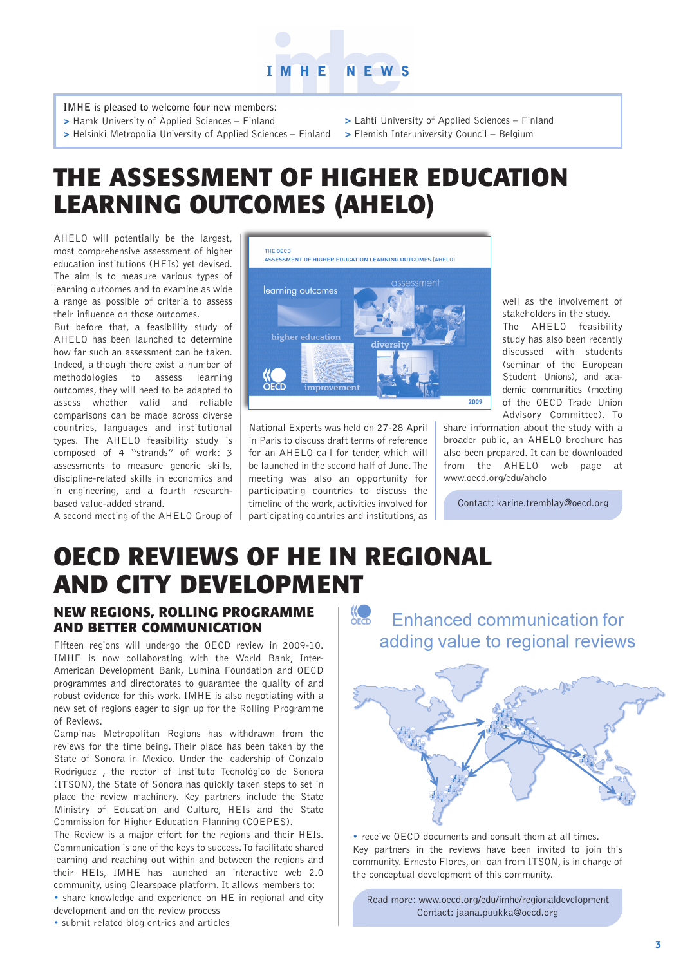

**IMHE is pleased to welcome four new members:**

- **>** Hamk University of Applied Sciences Finland
- **>** Helsinki Metropolia University of Applied Sciences Finland
- **>** Lahti University of Applied Sciences Finland
- **>** Flemish Interuniversity Council Belgium

# **THE ASSESSMENT OF HIGHER EDUCATION LEARNING OUTCOMES (AHELO)**

AHELO will potentially be the largest, most comprehensive assessment of higher education institutions (HEIs) yet devised. The aim is to measure various types of learning outcomes and to examine as wide a range as possible of criteria to assess their influence on those outcomes.

But before that, a feasibility study of AHELO has been launched to determine how far such an assessment can be taken. Indeed, although there exist a number of methodologies to assess learning outcomes, they will need to be adapted to assess whether valid and reliable comparisons can be made across diverse countries, languages and institutional types. The AHELO feasibility study is composed of 4 "strands" of work: 3 assessments to measure generic skills, discipline-related skills in economics and in engineering, and a fourth researchbased value-added strand.

A second meeting of the AHELO Group of



National Experts was held on 27-28 April in Paris to discuss draft terms of reference for an AHELO call for tender, which will be launched in the second half of June. The meeting was also an opportunity for participating countries to discuss the timeline of the work, activities involved for participating countries and institutions, as

well as the involvement of stakeholders in the study.

The AHELO feasibility study has also been recently discussed with students (seminar of the European Student Unions), and academic communities (meeting of the OECD Trade Union Advisory Committee). To

share information about the study with a broader public, an AHELO brochure has also been prepared. It can be downloaded from the AHELO web page at www.oecd.org/edu/ahelo

Contact: karine.tremblay@oecd.org

# **OECD REVIEWS OF HE IN REGIONAL AND CITY DEVELOPMENT**

# **NEW REGIONS, ROLLING PROGRAMME AND BETTER COMMUNICATION**

Fifteen regions will undergo the OECD review in 2009-10. IMHE is now collaborating with the World Bank, Inter-American Development Bank, Lumina Foundation and OECD programmes and directorates to guarantee the quality of and robust evidence for this work. IMHE is also negotiating with a new set of regions eager to sign up for the Rolling Programme of Reviews.

Campinas Metropolitan Regions has withdrawn from the reviews for the time being. Their place has been taken by the State of Sonora in Mexico. Under the leadership of Gonzalo Rodriguez , the rector of Instituto Tecnológico de Sonora (ITSON), the State of Sonora has quickly taken steps to set in place the review machinery. Key partners include the State Ministry of Education and Culture, HEIs and the State Commission for Higher Education Planning (COEPES).

The Review is a major effort for the regions and their HEIs. Communication is one of the keys to success. To facilitate shared learning and reaching out within and between the regions and their HEIs, IMHE has launched an interactive web 2.0 community, using Clearspace platform. It allows members to:

• share knowledge and experience on HE in regional and city development and on the review process

• submit related blog entries and articles

**KO Enhanced communication for** adding value to regional reviews



• receive OECD documents and consult them at all times. Key partners in the reviews have been invited to join this community. Ernesto Flores, on loan from ITSON, is in charge of the conceptual development of this community.

Read more: www.oecd.org/edu/imhe/regionaldevelopment Contact: jaana.puukka@oecd.org